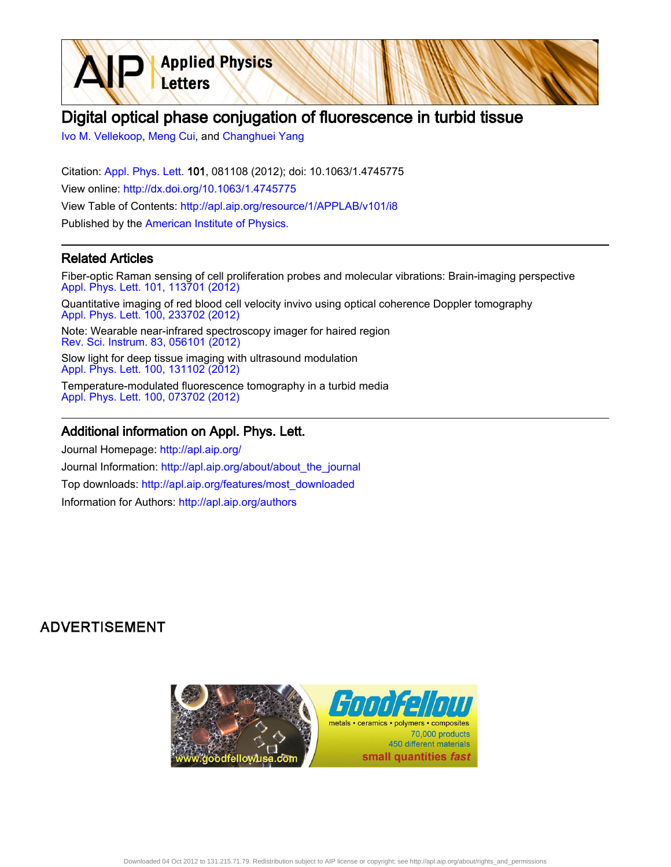# Digital optical phase conjugation of fluorescence in turbid tissue

[Ivo M. Vellekoop,](http://apl.aip.org/search?sortby=newestdate&q=&searchzone=2&searchtype=searchin&faceted=faceted&key=AIP_ALL&possible1=Ivo M. Vellekoop&possible1zone=author&alias=&displayid=AIP&ver=pdfcov) [Meng Cui](http://apl.aip.org/search?sortby=newestdate&q=&searchzone=2&searchtype=searchin&faceted=faceted&key=AIP_ALL&possible1=Meng Cui&possible1zone=author&alias=&displayid=AIP&ver=pdfcov), and [Changhuei Yang](http://apl.aip.org/search?sortby=newestdate&q=&searchzone=2&searchtype=searchin&faceted=faceted&key=AIP_ALL&possible1=Changhuei Yang&possible1zone=author&alias=&displayid=AIP&ver=pdfcov)

Letters

Citation: [Appl. Phys. Lett. 1](http://apl.aip.org/?ver=pdfcov)01, 081108 (2012); doi: 10.1063/1.4745775 View online: [http://dx.doi.org/10.1063/1.4745775](http://link.aip.org/link/doi/10.1063/1.4745775?ver=pdfcov) View Table of Contents: [http://apl.aip.org/resource/1/APPLAB/v101/i8](http://apl.aip.org/resource/1/APPLAB/v101/i8?ver=pdfcov) Published by the [American Institute of Physics.](http://www.aip.org/?ver=pdfcov)

**Applied Physics** 

### Related Articles

Fiber-optic Raman sensing of cell proliferation probes and molecular vibrations: Brain-imaging perspective [Appl. Phys. Lett. 101, 113701 \(2012\)](http://link.aip.org/link/doi/10.1063/1.4751468?ver=pdfcov)

Quantitative imaging of red blood cell velocity invivo using optical coherence Doppler tomography [Appl. Phys. Lett. 100, 233702 \(2012\)](http://link.aip.org/link/doi/10.1063/1.4726115?ver=pdfcov)

Note: Wearable near-infrared spectroscopy imager for haired region [Rev. Sci. Instrum. 83, 056101 \(2012\)](http://link.aip.org/link/doi/10.1063/1.4704456?ver=pdfcov)

Slow light for deep tissue imaging with ultrasound modulation [Appl. Phys. Lett. 100, 131102 \(2012\)](http://link.aip.org/link/doi/10.1063/1.3696307?ver=pdfcov)

Temperature-modulated fluorescence tomography in a turbid media [Appl. Phys. Lett. 100, 073702 \(2012\)](http://link.aip.org/link/doi/10.1063/1.3681378?ver=pdfcov)

#### Additional information on Appl. Phys. Lett.

Journal Homepage: [http://apl.aip.org/](http://apl.aip.org/?ver=pdfcov) Journal Information: [http://apl.aip.org/about/about\\_the\\_journal](http://apl.aip.org/about/about_the_journal?ver=pdfcov) Top downloads: [http://apl.aip.org/features/most\\_downloaded](http://apl.aip.org/features/most_downloaded?ver=pdfcov) Information for Authors: [http://apl.aip.org/authors](http://apl.aip.org/authors?ver=pdfcov)

## **ADVERTISEMENT**

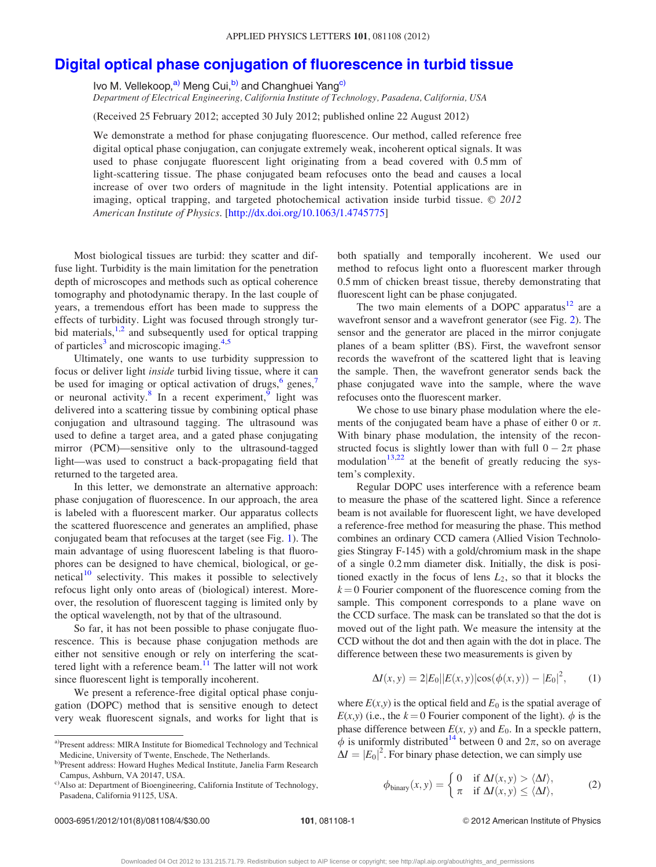## <span id="page-1-0"></span>[Digital optical phase conjugation of fluorescence in turbid tissue](http://dx.doi.org/10.1063/1.4745775)

Ivo M. Vellekoop,<sup>a)</sup> Meng Cui,<sup>b)</sup> and Changhuei Yang<sup>c)</sup>

Department of Electrical Engineering, California Institute of Technology, Pasadena, California, USA

(Received 25 February 2012; accepted 30 July 2012; published online 22 August 2012)

We demonstrate a method for phase conjugating fluorescence. Our method, called reference free digital optical phase conjugation, can conjugate extremely weak, incoherent optical signals. It was used to phase conjugate fluorescent light originating from a bead covered with 0.5 mm of light-scattering tissue. The phase conjugated beam refocuses onto the bead and causes a local increase of over two orders of magnitude in the light intensity. Potential applications are in imaging, optical trapping, and targeted photochemical activation inside turbid tissue.  $\odot$  2012 American Institute of Physics. [\[http://dx.doi.org/10.1063/1.4745775](http://dx.doi.org/10.1063/1.4745775)]

Most biological tissues are turbid: they scatter and diffuse light. Turbidity is the main limitation for the penetration depth of microscopes and methods such as optical coherence tomography and photodynamic therapy. In the last couple of years, a tremendous effort has been made to suppress the effects of turbidity. Light was focused through strongly turbid materials, $1,2$  and subsequently used for optical trapping of particles<sup>[3](#page-3-0)</sup> and microscopic imaging. $4,5$  $4,5$ 

Ultimately, one wants to use turbidity suppression to focus or deliver light inside turbid living tissue, where it can be used for imaging or optical activation of drugs, $6 \text{ genes}$  $6 \text{ genes}$ , or neuronal activity.<sup>[8](#page-4-0)</sup> In a recent experiment,<sup>[9](#page-4-0)</sup> light was delivered into a scattering tissue by combining optical phase conjugation and ultrasound tagging. The ultrasound was used to define a target area, and a gated phase conjugating mirror (PCM)—sensitive only to the ultrasound-tagged light—was used to construct a back-propagating field that returned to the targeted area.

In this letter, we demonstrate an alternative approach: phase conjugation of fluorescence. In our approach, the area is labeled with a fluorescent marker. Our apparatus collects the scattered fluorescence and generates an amplified, phase conjugated beam that refocuses at the target (see Fig. [1\)](#page-2-0). The main advantage of using fluorescent labeling is that fluorophores can be designed to have chemical, biological, or genetical $10$  selectivity. This makes it possible to selectively refocus light only onto areas of (biological) interest. Moreover, the resolution of fluorescent tagging is limited only by the optical wavelength, not by that of the ultrasound.

So far, it has not been possible to phase conjugate fluorescence. This is because phase conjugation methods are either not sensitive enough or rely on interfering the scattered light with a reference beam. $11$  The latter will not work since fluorescent light is temporally incoherent.

We present a reference-free digital optical phase conjugation (DOPC) method that is sensitive enough to detect very weak fluorescent signals, and works for light that is both spatially and temporally incoherent. We used our method to refocus light onto a fluorescent marker through 0.5 mm of chicken breast tissue, thereby demonstrating that fluorescent light can be phase conjugated.

The two main elements of a DOPC apparatus $12$  are a wavefront sensor and a wavefront generator (see Fig. [2\)](#page-2-0). The sensor and the generator are placed in the mirror conjugate planes of a beam splitter (BS). First, the wavefront sensor records the wavefront of the scattered light that is leaving the sample. Then, the wavefront generator sends back the phase conjugated wave into the sample, where the wave refocuses onto the fluorescent marker.

We chose to use binary phase modulation where the elements of the conjugated beam have a phase of either 0 or  $\pi$ . With binary phase modulation, the intensity of the reconstructed focus is slightly lower than with full  $0 - 2\pi$  phase modulation $13,22$  at the benefit of greatly reducing the system's complexity.

Regular DOPC uses interference with a reference beam to measure the phase of the scattered light. Since a reference beam is not available for fluorescent light, we have developed a reference-free method for measuring the phase. This method combines an ordinary CCD camera (Allied Vision Technologies Stingray F-145) with a gold/chromium mask in the shape of a single 0.2 mm diameter disk. Initially, the disk is positioned exactly in the focus of lens  $L_2$ , so that it blocks the  $k = 0$  Fourier component of the fluorescence coming from the sample. This component corresponds to a plane wave on the CCD surface. The mask can be translated so that the dot is moved out of the light path. We measure the intensity at the CCD without the dot and then again with the dot in place. The difference between these two measurements is given by

$$
\Delta I(x, y) = 2|E_0||E(x, y)|\cos(\phi(x, y)) - |E_0|^2, \quad (1)
$$

where  $E(x, y)$  is the optical field and  $E_0$  is the spatial average of  $E(x, y)$  (i.e., the  $k = 0$  Fourier component of the light).  $\phi$  is the phase difference between  $E(x, y)$  and  $E_0$ . In a speckle pattern,  $\phi$  is uniformly distributed<sup>14</sup> between 0 and  $2\pi$ , so on average  $\Delta I = |E_0|^2$ . For binary phase detection, we can simply use

$$
\phi_{\text{binary}}(x, y) = \begin{cases} 0 & \text{if } \Delta I(x, y) > \langle \Delta I \rangle, \\ \pi & \text{if } \Delta I(x, y) \le \langle \Delta I \rangle, \end{cases} \tag{2}
$$

0003-6951/2012/101(8)/081108/4/\$30.00 101, 081108-1 
2003-6951/2012/101(8)/081108/4/\$30.00 101, 081108-1 © 2012 American Institute of Physics

a)Present address: MIRA Institute for Biomedical Technology and Technical Medicine, University of Twente, Enschede, The Netherlands.

b)Present address: Howard Hughes Medical Institute, Janelia Farm Research Campus, Ashburn, VA 20147, USA.

c)Also at: Department of Bioengineering, California Institute of Technology, Pasadena, California 91125, USA.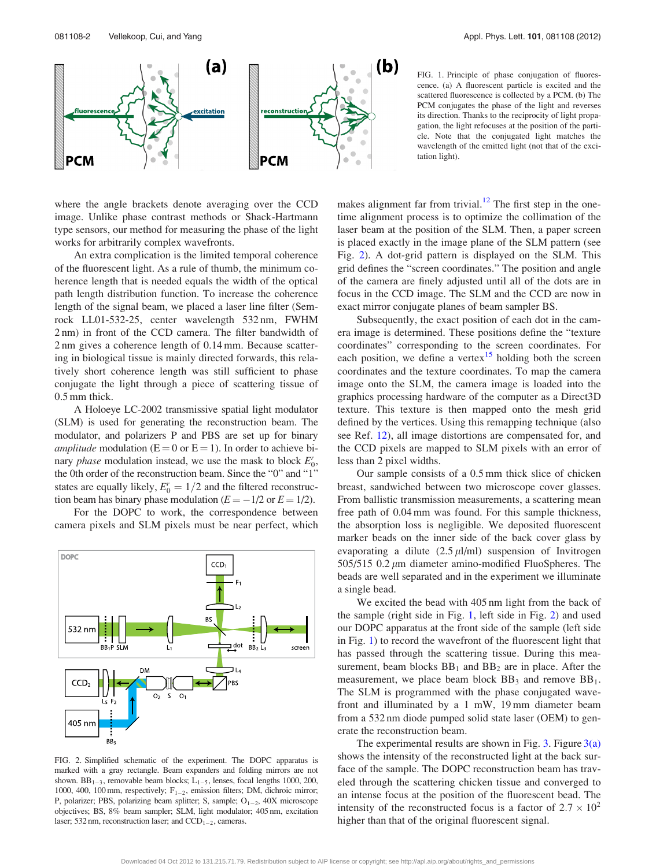<span id="page-2-0"></span>

where the angle brackets denote averaging over the CCD image. Unlike phase contrast methods or Shack-Hartmann type sensors, our method for measuring the phase of the light works for arbitrarily complex wavefronts.

An extra complication is the limited temporal coherence of the fluorescent light. As a rule of thumb, the minimum coherence length that is needed equals the width of the optical path length distribution function. To increase the coherence length of the signal beam, we placed a laser line filter (Semrock LL01-532-25, center wavelength 532 nm, FWHM 2 nm) in front of the CCD camera. The filter bandwidth of 2 nm gives a coherence length of 0.14 mm. Because scattering in biological tissue is mainly directed forwards, this relatively short coherence length was still sufficient to phase conjugate the light through a piece of scattering tissue of 0.5 mm thick.

A Holoeye LC-2002 transmissive spatial light modulator (SLM) is used for generating the reconstruction beam. The modulator, and polarizers P and PBS are set up for binary *amplitude* modulation ( $E = 0$  or  $E = 1$ ). In order to achieve bihary phase modulation instead, we use the mask to block  $E_0^r$ , the 0th order of the reconstruction beam. Since the "0" and "1" states are equally likely,  $E_0^r = 1/2$  and the filtered reconstruction beam has binary phase modulation ( $E = -1/2$  or  $E = 1/2$ ).

For the DOPC to work, the correspondence between camera pixels and SLM pixels must be near perfect, which



FIG. 2. Simplified schematic of the experiment. The DOPC apparatus is marked with a gray rectangle. Beam expanders and folding mirrors are not shown.  $BB_{1-3}$ , removable beam blocks;  $L_{1-5}$ , lenses, focal lengths 1000, 200, 1000, 400, 100 mm, respectively;  $F_{1-2}$ , emission filters; DM, dichroic mirror; P, polarizer; PBS, polarizing beam splitter; S, sample;  $O_{1-2}$ , 40X microscope objectives; BS, 8% beam sampler; SLM, light modulator; 405 nm, excitation laser; 532 nm, reconstruction laser; and  $CCD_{1-2}$ , cameras.

FIG. 1. Principle of phase conjugation of fluorescence. (a) A fluorescent particle is excited and the scattered fluorescence is collected by a PCM. (b) The PCM conjugates the phase of the light and reverses its direction. Thanks to the reciprocity of light propagation, the light refocuses at the position of the particle. Note that the conjugated light matches the wavelength of the emitted light (not that of the excitation light).

makes alignment far from trivial.<sup>12</sup> The first step in the onetime alignment process is to optimize the collimation of the laser beam at the position of the SLM. Then, a paper screen is placed exactly in the image plane of the SLM pattern (see Fig. 2). A dot-grid pattern is displayed on the SLM. This grid defines the "screen coordinates." The position and angle of the camera are finely adjusted until all of the dots are in focus in the CCD image. The SLM and the CCD are now in exact mirror conjugate planes of beam sampler BS.

Subsequently, the exact position of each dot in the camera image is determined. These positions define the "texture coordinates" corresponding to the screen coordinates. For each position, we define a vertex $15$  holding both the screen coordinates and the texture coordinates. To map the camera image onto the SLM, the camera image is loaded into the graphics processing hardware of the computer as a Direct3D texture. This texture is then mapped onto the mesh grid defined by the vertices. Using this remapping technique (also see Ref. [12](#page-4-0)), all image distortions are compensated for, and the CCD pixels are mapped to SLM pixels with an error of less than 2 pixel widths.

Our sample consists of a 0.5 mm thick slice of chicken breast, sandwiched between two microscope cover glasses. From ballistic transmission measurements, a scattering mean free path of 0.04 mm was found. For this sample thickness, the absorption loss is negligible. We deposited fluorescent marker beads on the inner side of the back cover glass by evaporating a dilute  $(2.5 \mu J/ml)$  suspension of Invitrogen 505/515 0.2  $\mu$ m diameter amino-modified FluoSpheres. The beads are well separated and in the experiment we illuminate a single bead.

We excited the bead with 405 nm light from the back of the sample (right side in Fig. 1, left side in Fig. 2) and used our DOPC apparatus at the front side of the sample (left side in Fig. 1) to record the wavefront of the fluorescent light that has passed through the scattering tissue. During this measurement, beam blocks  $BB_1$  and  $BB_2$  are in place. After the measurement, we place beam block  $BB<sub>3</sub>$  and remove  $BB<sub>1</sub>$ . The SLM is programmed with the phase conjugated wavefront and illuminated by a 1 mW, 19 mm diameter beam from a 532 nm diode pumped solid state laser (OEM) to generate the reconstruction beam.

The experimental results are shown in Fig. [3.](#page-3-0) Figure  $3(a)$ shows the intensity of the reconstructed light at the back surface of the sample. The DOPC reconstruction beam has traveled through the scattering chicken tissue and converged to an intense focus at the position of the fluorescent bead. The intensity of the reconstructed focus is a factor of  $2.7 \times 10^2$ higher than that of the original fluorescent signal.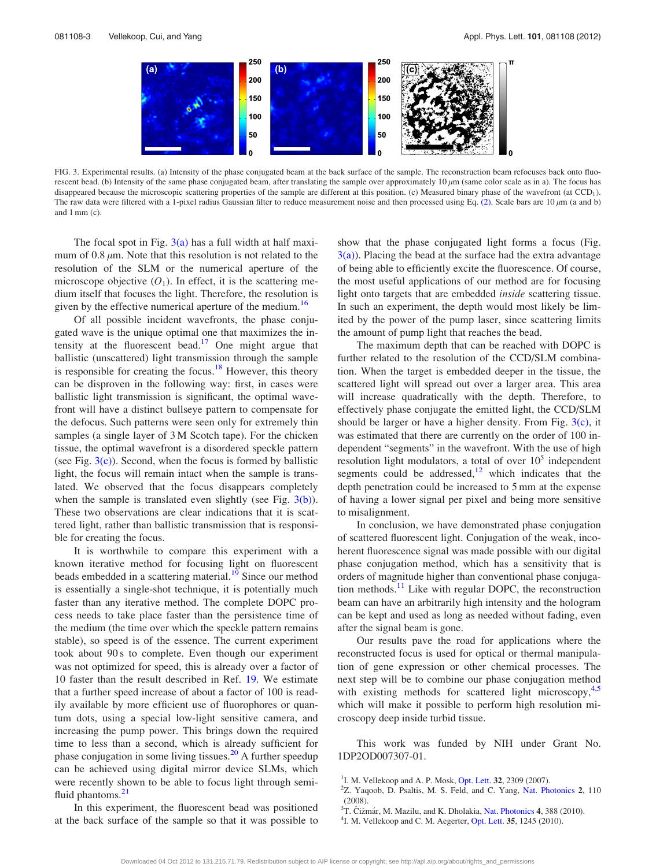<span id="page-3-0"></span>

FIG. 3. Experimental results. (a) Intensity of the phase conjugated beam at the back surface of the sample. The reconstruction beam refocuses back onto fluorescent bead. (b) Intensity of the same phase conjugated beam, after translating the sample over approximately  $10 \mu m$  (same color scale as in a). The focus has disappeared because the microscopic scattering properties of the sample are different at this position. (c) Measured binary phase of the wavefront (at CCD<sub>1</sub>). The raw data were filtered with a 1-pixel radius Gaussian filter to reduce measurement noise and then processed using Eq. [\(2\)](#page-1-0). Scale bars are  $10 \mu m$  (a and b) and 1 mm (c).

The focal spot in Fig.  $3(a)$  has a full width at half maximum of 0.8  $\mu$ m. Note that this resolution is not related to the resolution of the SLM or the numerical aperture of the microscope objective  $(O_1)$ . In effect, it is the scattering medium itself that focuses the light. Therefore, the resolution is given by the effective numerical aperture of the medium.<sup>16</sup>

Of all possible incident wavefronts, the phase conjugated wave is the unique optimal one that maximizes the intensity at the fluorescent bead.<sup>17</sup> One might argue that ballistic (unscattered) light transmission through the sample is responsible for creating the focus.<sup>18</sup> However, this theory can be disproven in the following way: first, in cases were ballistic light transmission is significant, the optimal wavefront will have a distinct bullseye pattern to compensate for the defocus. Such patterns were seen only for extremely thin samples (a single layer of 3 M Scotch tape). For the chicken tissue, the optimal wavefront is a disordered speckle pattern (see Fig.  $3(c)$ ). Second, when the focus is formed by ballistic light, the focus will remain intact when the sample is translated. We observed that the focus disappears completely when the sample is translated even slightly (see Fig.  $3(b)$ ). These two observations are clear indications that it is scattered light, rather than ballistic transmission that is responsible for creating the focus.

It is worthwhile to compare this experiment with a known iterative method for focusing light on fluorescent beads embedded in a scattering material.<sup>[19](#page-4-0)</sup> Since our method is essentially a single-shot technique, it is potentially much faster than any iterative method. The complete DOPC process needs to take place faster than the persistence time of the medium (the time over which the speckle pattern remains stable), so speed is of the essence. The current experiment took about 90 s to complete. Even though our experiment was not optimized for speed, this is already over a factor of 10 faster than the result described in Ref. [19](#page-4-0). We estimate that a further speed increase of about a factor of 100 is readily available by more efficient use of fluorophores or quantum dots, using a special low-light sensitive camera, and increasing the pump power. This brings down the required time to less than a second, which is already sufficient for phase conjugation in some living tissues.<sup>[20](#page-4-0)</sup> A further speedup can be achieved using digital mirror device SLMs, which were recently shown to be able to focus light through semi-fluid phantoms.<sup>[21](#page-4-0)</sup>

In this experiment, the fluorescent bead was positioned at the back surface of the sample so that it was possible to show that the phase conjugated light forms a focus (Fig.  $3(a)$ ). Placing the bead at the surface had the extra advantage of being able to efficiently excite the fluorescence. Of course, the most useful applications of our method are for focusing light onto targets that are embedded inside scattering tissue. In such an experiment, the depth would most likely be limited by the power of the pump laser, since scattering limits the amount of pump light that reaches the bead.

The maximum depth that can be reached with DOPC is further related to the resolution of the CCD/SLM combination. When the target is embedded deeper in the tissue, the scattered light will spread out over a larger area. This area will increase quadratically with the depth. Therefore, to effectively phase conjugate the emitted light, the CCD/SLM should be larger or have a higher density. From Fig.  $3(c)$ , it was estimated that there are currently on the order of 100 independent "segments" in the wavefront. With the use of high resolution light modulators, a total of over  $10<sup>5</sup>$  independent segments could be addressed, $12$  which indicates that the depth penetration could be increased to 5 mm at the expense of having a lower signal per pixel and being more sensitive to misalignment.

In conclusion, we have demonstrated phase conjugation of scattered fluorescent light. Conjugation of the weak, incoherent fluorescence signal was made possible with our digital phase conjugation method, which has a sensitivity that is orders of magnitude higher than conventional phase conjugation methods. $<sup>11</sup>$  Like with regular DOPC, the reconstruction</sup> beam can have an arbitrarily high intensity and the hologram can be kept and used as long as needed without fading, even after the signal beam is gone.

Our results pave the road for applications where the reconstructed focus is used for optical or thermal manipulation of gene expression or other chemical processes. The next step will be to combine our phase conjugation method with existing methods for scattered light microscopy, $4,5$  $4,5$ which will make it possible to perform high resolution microscopy deep inside turbid tissue.

This work was funded by NIH under Grant No. 1DP2OD007307-01.

- <sup>1</sup>I. M. Vellekoop and A. P. Mosk, [Opt. Lett.](http://dx.doi.org/10.1364/OL.32.002309) 32, 2309 (2007).
- $2Z$ . Yaqoob, D. Psaltis, M. S. Feld, and C. Yang, [Nat. Photonics](http://dx.doi.org/10.1038/nphoton.2007.297) 2, 110 (2008).
- <sup>3</sup>T. Čižmár, M. Mazilu, and K. Dholakia, [Nat. Photonics](http://dx.doi.org/10.1038/nphoton.2010.85) 4, 388 (2010).
- ${}^{4}$ I. M. Vellekoop and C. M. Aegerter, [Opt. Lett.](http://dx.doi.org/10.1364/OL.35.001245) 35, 1245 (2010).